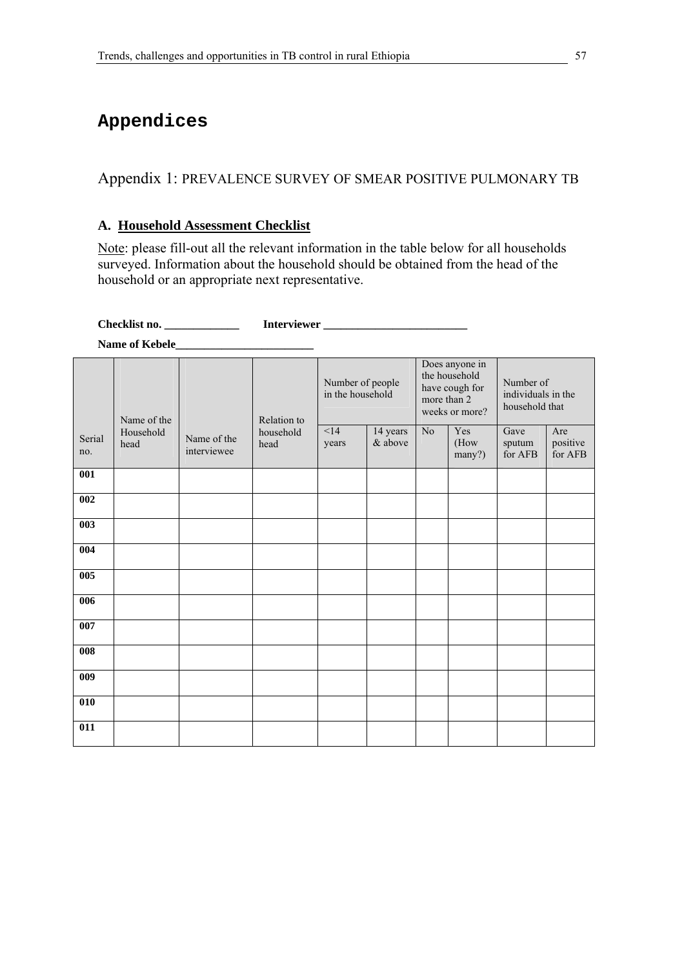# **Appendices**

Appendix 1: PREVALENCE SURVEY OF SMEAR POSITIVE PULMONARY TB

# **A. Household Assessment Checklist**

Note: please fill-out all the relevant information in the table below for all households surveyed. Information about the household should be obtained from the head of the household or an appropriate next representative.

**Checklist no. Interviewer** 

**Name of Kebele\_\_\_\_\_\_\_\_\_\_\_\_\_\_\_\_\_\_\_\_\_\_\_\_**

|                  | Name of the       | Relation to                | Number of people<br>in the household |              | Does anyone in<br>the household<br>have cough for<br>more than 2<br>weeks or more? |                | Number of<br>individuals in the<br>household that |                           |                            |
|------------------|-------------------|----------------------------|--------------------------------------|--------------|------------------------------------------------------------------------------------|----------------|---------------------------------------------------|---------------------------|----------------------------|
| Serial<br>no.    | Household<br>head | Name of the<br>interviewee | household<br>head                    | <14<br>years | 14 years<br>& above                                                                | N <sub>o</sub> | Yes<br>(How<br>many?)                             | Gave<br>sputum<br>for AFB | Are<br>positive<br>for AFB |
| 001              |                   |                            |                                      |              |                                                                                    |                |                                                   |                           |                            |
| 002              |                   |                            |                                      |              |                                                                                    |                |                                                   |                           |                            |
| 003              |                   |                            |                                      |              |                                                                                    |                |                                                   |                           |                            |
| 004              |                   |                            |                                      |              |                                                                                    |                |                                                   |                           |                            |
| 005              |                   |                            |                                      |              |                                                                                    |                |                                                   |                           |                            |
| 006              |                   |                            |                                      |              |                                                                                    |                |                                                   |                           |                            |
| 007              |                   |                            |                                      |              |                                                                                    |                |                                                   |                           |                            |
| 008              |                   |                            |                                      |              |                                                                                    |                |                                                   |                           |                            |
| $\overline{009}$ |                   |                            |                                      |              |                                                                                    |                |                                                   |                           |                            |
| 010              |                   |                            |                                      |              |                                                                                    |                |                                                   |                           |                            |
| 011              |                   |                            |                                      |              |                                                                                    |                |                                                   |                           |                            |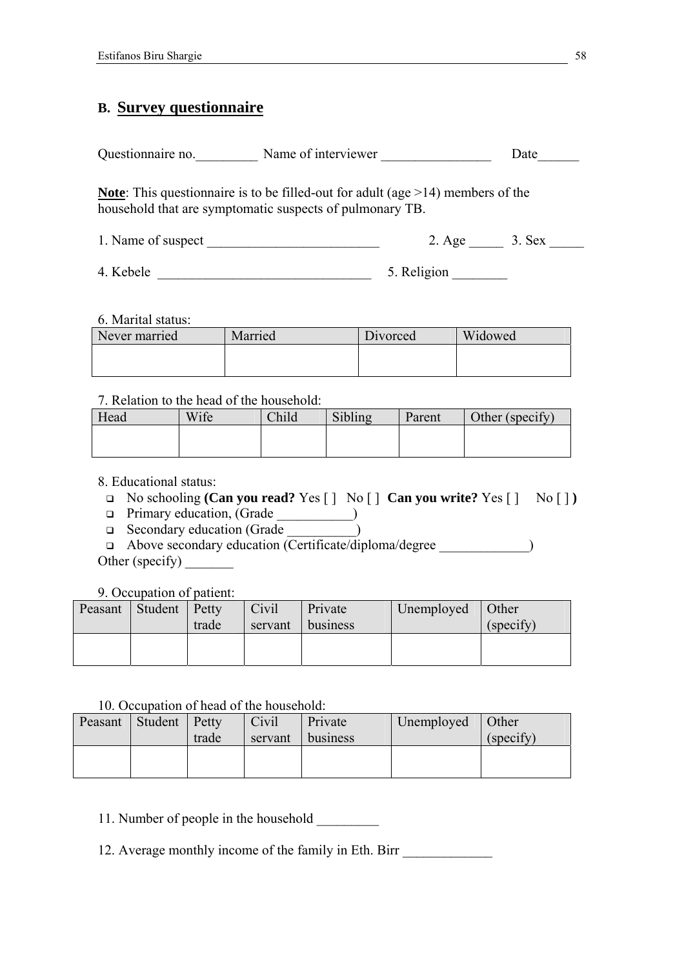# **B. Survey questionnaire**

| Questionnaire no.<br>Name of interviewer | Date |
|------------------------------------------|------|
|------------------------------------------|------|

**Note**: This questionnaire is to be filled-out for adult (age >14) members of the household that are symptomatic suspects of pulmonary TB.

1. Name of suspect \_\_\_\_\_\_\_\_\_\_\_\_\_\_\_\_\_\_\_\_\_\_\_\_\_ 2. Age \_\_\_\_\_ 3. Sex \_\_\_\_\_

4. Kebele \_\_\_\_\_\_\_\_\_\_\_\_\_\_\_\_\_\_\_\_\_\_\_\_\_\_\_\_\_\_\_ 5. Religion \_\_\_\_\_\_\_\_

## 6. Marital status:

| Never married | Married | n.<br>Divorced | Widowed |
|---------------|---------|----------------|---------|
|               |         |                |         |
|               |         |                |         |

## 7. Relation to the head of the household:

| Head | Wife | Child | Sibling | Parent | Other (specify) |
|------|------|-------|---------|--------|-----------------|
|      |      |       |         |        |                 |
|      |      |       |         |        |                 |

## 8. Educational status:

- No schooling **(Can you read?** Yes [ ] No [ ] **Can you write?** Yes [ ] No [ ] **)**
- Primary education, (Grade \_\_\_\_\_\_\_\_\_\_\_)
- $\Box$  Secondary education (Grade  $\Box$ )

 Above secondary education (Certificate/diploma/degree \_\_\_\_\_\_\_\_\_\_\_\_\_) Other (specify) \_\_\_\_\_\_\_

9. Occupation of patient:

| Student   Petty<br>Peasant | trade | Civil<br>servant | Private<br>business | Unemployed | <b>Other</b><br>(specify) |
|----------------------------|-------|------------------|---------------------|------------|---------------------------|
|                            |       |                  |                     |            |                           |

## 10. Occupation of head of the household:

| Peasant | Student   Petty | trade | Civil<br>servant | Private<br>business | Unemployed | Other<br>(specify) |
|---------|-----------------|-------|------------------|---------------------|------------|--------------------|
|         |                 |       |                  |                     |            |                    |

11. Number of people in the household \_\_\_\_\_\_\_\_\_

12. Average monthly income of the family in Eth. Birr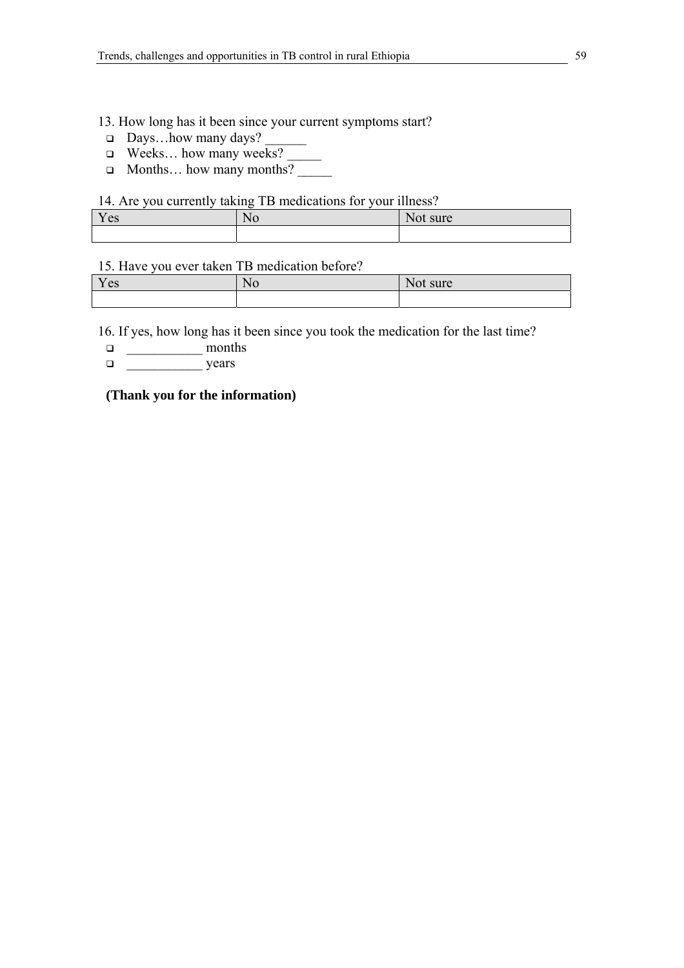### 13. How long has it been since your current symptoms start?

- □ Days...how many days? <u></u>
- □ Weeks... how many weeks? <u></u>
- □ Months… how many months? <u></u>

## 14. Are you currently taking TB medications for your illness?

| Yes | ۰.<br>1 J V | $\mathbf{v}$<br>sure<br>vι |
|-----|-------------|----------------------------|
|     |             |                            |

## 15. Have you ever taken TB medication before?

| Yes | <b>STATE</b><br>1 Y U | $\mathbf{v}$<br>sure<br>1 N<br>ι∪ι |
|-----|-----------------------|------------------------------------|
|     |                       |                                    |

16. If yes, how long has it been since you took the medication for the last time?

\_\_\_\_\_\_\_\_\_\_\_ months

**<u>u</u>** years

## **(Thank you for the information)**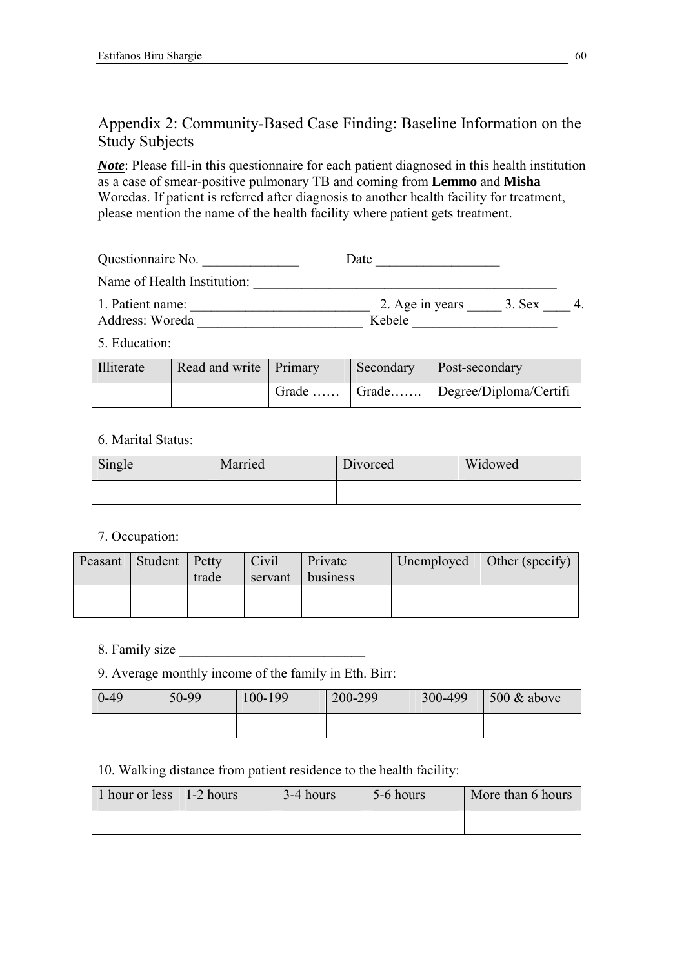Appendix 2: Community-Based Case Finding: Baseline Information on the Study Subjects

*Note*: Please fill-in this questionnaire for each patient diagnosed in this health institution as a case of smear-positive pulmonary TB and coming from **Lemmo** and **Misha** Woredas. If patient is referred after diagnosis to another health facility for treatment, please mention the name of the health facility where patient gets treatment.

| Questionnaire No.           | Date            |        |  |
|-----------------------------|-----------------|--------|--|
| Name of Health Institution: |                 |        |  |
| 1. Patient name:            | 2. Age in years | 3. Sex |  |
| Address: Woreda             | Kebele          |        |  |

5. Education:

| Illiterate | Read and write   Primary |  | Secondary Post-secondary                 |
|------------|--------------------------|--|------------------------------------------|
|            |                          |  | Grade    Grade    Degree/Diploma/Certifi |

## 6. Marital Status:

| Single | Married | Divorced | Widowed |
|--------|---------|----------|---------|
|        |         |          |         |

# 7. Occupation:

| Peasant   Student   Petty | trade | Civil<br>servant | Private<br>business | Unemployed $\int$ Other (specify) |
|---------------------------|-------|------------------|---------------------|-----------------------------------|
|                           |       |                  |                     |                                   |

# 8. Family size

9. Average monthly income of the family in Eth. Birr:

| $0-49$ | 50-99 | $100 - 199$ | 200-299 | 300-499<br>$500 \& above$ |  |  |
|--------|-------|-------------|---------|---------------------------|--|--|
|        |       |             |         |                           |  |  |

## 10. Walking distance from patient residence to the health facility:

| 1 hour or less   1-2 hours | 3-4 hours | 5-6 hours | More than 6 hours |
|----------------------------|-----------|-----------|-------------------|
|                            |           |           |                   |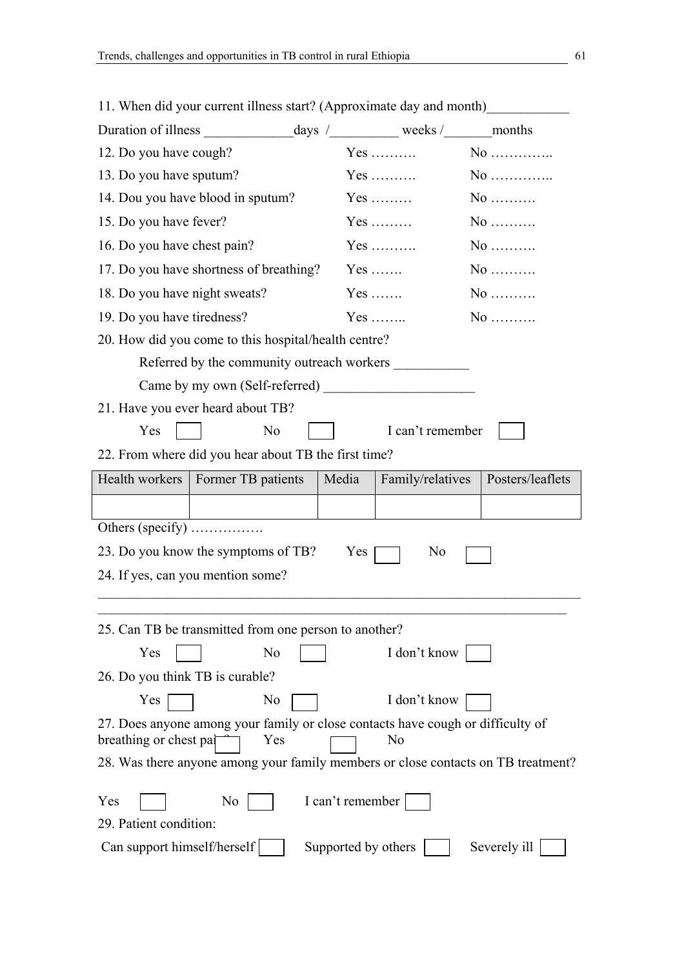| 11. When did your current illness start? (Approximate day and month)                                             |                                     |              |  |  |  |  |  |  |
|------------------------------------------------------------------------------------------------------------------|-------------------------------------|--------------|--|--|--|--|--|--|
| Duration of illness                                                                                              | $\frac{1}{2}$ days / weeks / months |              |  |  |  |  |  |  |
| 12. Do you have cough?                                                                                           | $Yes$                               | $No$         |  |  |  |  |  |  |
| 13. Do you have sputum?                                                                                          | $Yes$                               | $No$         |  |  |  |  |  |  |
| 14. Dou you have blood in sputum?                                                                                | $Yes$                               | $No$         |  |  |  |  |  |  |
| 15. Do you have fever?                                                                                           | $Yes$                               | $No$         |  |  |  |  |  |  |
| 16. Do you have chest pain?                                                                                      | $Yes$                               | $No$         |  |  |  |  |  |  |
| 17. Do you have shortness of breathing?                                                                          | $Yes \dots$                         | No           |  |  |  |  |  |  |
| 18. Do you have night sweats?                                                                                    | $Yes$                               | $No$         |  |  |  |  |  |  |
| 19. Do you have tiredness?                                                                                       | $Yes \dots$                         | $No$         |  |  |  |  |  |  |
| 20. How did you come to this hospital/health centre?                                                             |                                     |              |  |  |  |  |  |  |
| Referred by the community outreach workers                                                                       |                                     |              |  |  |  |  |  |  |
| Came by my own (Self-referred)                                                                                   |                                     |              |  |  |  |  |  |  |
| 21. Have you ever heard about TB?                                                                                |                                     |              |  |  |  |  |  |  |
| Yes<br>N <sub>0</sub>                                                                                            | I can't remember                    |              |  |  |  |  |  |  |
| 22. From where did you hear about TB the first time?                                                             |                                     |              |  |  |  |  |  |  |
| Posters/leaflets<br>Health workers<br><b>Former TB patients</b><br>Media<br>Family/relatives                     |                                     |              |  |  |  |  |  |  |
|                                                                                                                  |                                     |              |  |  |  |  |  |  |
|                                                                                                                  |                                     |              |  |  |  |  |  |  |
| Others (specify)                                                                                                 |                                     |              |  |  |  |  |  |  |
| 23. Do you know the symptoms of TB?                                                                              | N <sub>0</sub><br>Yes               |              |  |  |  |  |  |  |
| 24. If yes, can you mention some?                                                                                |                                     |              |  |  |  |  |  |  |
|                                                                                                                  |                                     |              |  |  |  |  |  |  |
|                                                                                                                  |                                     |              |  |  |  |  |  |  |
| 25. Can TB be transmitted from one person to another?                                                            |                                     |              |  |  |  |  |  |  |
| Yes<br>N <sub>0</sub>                                                                                            | I don't know                        |              |  |  |  |  |  |  |
| 26. Do you think TB is curable?                                                                                  |                                     |              |  |  |  |  |  |  |
| No<br>Yes                                                                                                        | I don't know                        |              |  |  |  |  |  |  |
| 27. Does anyone among your family or close contacts have cough or difficulty of<br>breathing or chest paj<br>Yes | N <sub>o</sub>                      |              |  |  |  |  |  |  |
| 28. Was there anyone among your family members or close contacts on TB treatment?                                |                                     |              |  |  |  |  |  |  |
|                                                                                                                  |                                     |              |  |  |  |  |  |  |
| No<br>Yes                                                                                                        | I can't remember                    |              |  |  |  |  |  |  |
| 29. Patient condition:<br>Can support himself/herself                                                            | Supported by others                 | Severely ill |  |  |  |  |  |  |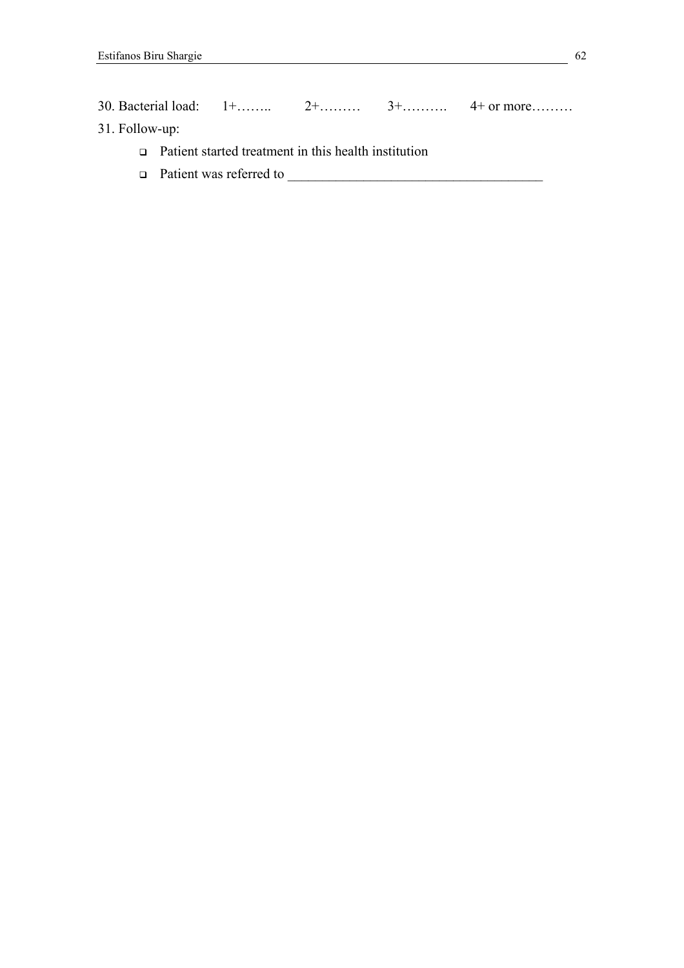|                |                                                             |                                |  |  | 30. Bacterial load: $1+$ $2+$ $3+$ $4+$ or more |  |  |
|----------------|-------------------------------------------------------------|--------------------------------|--|--|-------------------------------------------------|--|--|
| 31. Follow-up: |                                                             |                                |  |  |                                                 |  |  |
|                | $\Box$ Patient started treatment in this health institution |                                |  |  |                                                 |  |  |
|                |                                                             | $\Box$ Patient was referred to |  |  |                                                 |  |  |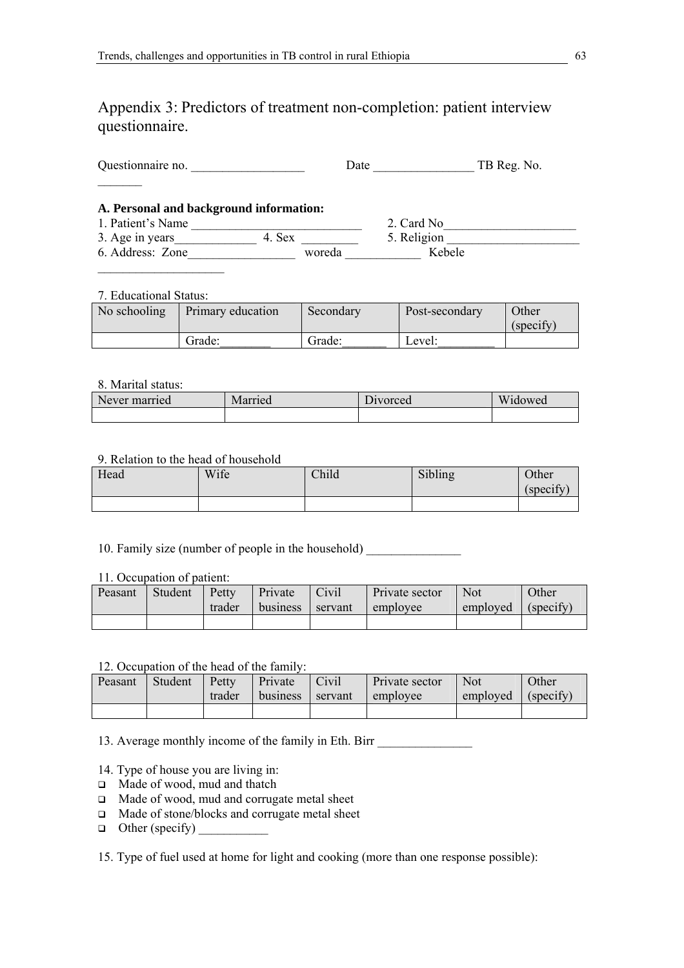# Appendix 3: Predictors of treatment non-completion: patient interview questionnaire.

| Questionnaire no. | Date | TB Reg. No. |
|-------------------|------|-------------|
|                   |      |             |

## **A. Personal and background information:**

- 
- 1. Patient's Name 2. Card No 3. Age in years\_\_\_\_\_\_\_\_\_\_\_\_\_ 4. Sex \_\_\_\_\_\_\_\_\_ 5. Religion \_\_\_\_\_\_\_\_\_\_\_\_\_\_\_\_\_\_\_\_\_ 6. Address: Zone\_\_\_\_\_\_\_\_\_\_\_\_\_\_\_\_\_ woreda \_\_\_\_\_\_\_\_\_\_\_\_ Kebele  $\mathcal{L}_\text{max}$

#### 7. Educational Status:

| No schooling | Primary education | Secondary | Post-secondary | Other<br>(specify) |
|--------------|-------------------|-----------|----------------|--------------------|
|              | Grade:            | Grade:    | Level:         |                    |

#### 8. Marital status:

| Never married<br>Married |  | Divorced | TTT<br>W <sub>1</sub> dowed |
|--------------------------|--|----------|-----------------------------|
|                          |  |          |                             |

## 9. Relation to the head of household

| Head | Wife | Child | Sibling | Other                                |
|------|------|-------|---------|--------------------------------------|
|      |      |       |         | $\cdot$ $\circ$ $\cdot$<br>(specity) |
|      |      |       |         |                                      |

## 10. Family size (number of people in the household)

#### 11. Occupation of patient:

| Peasant | Student | Petty  | Private  | Civil   | Private sector | Not      | Other     |
|---------|---------|--------|----------|---------|----------------|----------|-----------|
|         |         | trader | business | servant | employee       | employed | (specify) |
|         |         |        |          |         |                |          |           |

#### 12. Occupation of the head of the family:

| Peasant | Student | Petty<br>trader | Private<br>business | Civil<br>servant | Private sector<br>employee | Not<br>employed | Other<br>(specify) |
|---------|---------|-----------------|---------------------|------------------|----------------------------|-----------------|--------------------|
|         |         |                 |                     |                  |                            |                 |                    |

#### 13. Average monthly income of the family in Eth. Birr

#### 14. Type of house you are living in:

- □ Made of wood, mud and thatch
- $\Box$  Made of wood, mud and corrugate metal sheet
- Made of stone/blocks and corrugate metal sheet
- $\Box$  Other (specify)

## 15. Type of fuel used at home for light and cooking (more than one response possible):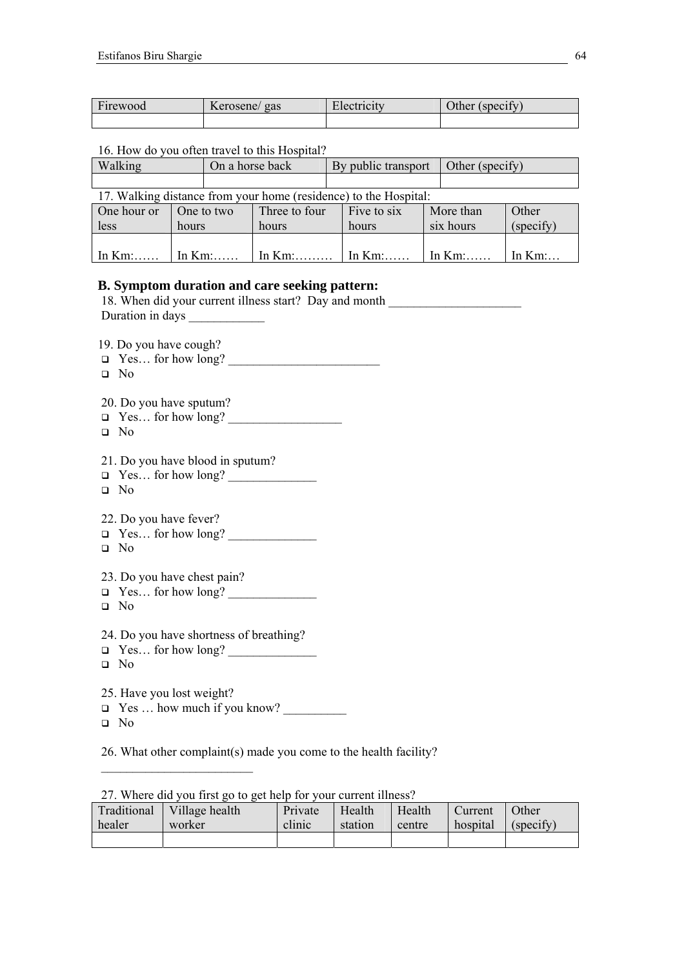| Firewood | Kerosene/<br>gas | Electricity | $\cdot$ $\sim$<br>Other (specify) |
|----------|------------------|-------------|-----------------------------------|
|          |                  |             |                                   |

#### 16. How do you often travel to this Hospital?

| Walking                                                          | On a horse back |            |               | By public transport | Other (specify) |  |           |           |
|------------------------------------------------------------------|-----------------|------------|---------------|---------------------|-----------------|--|-----------|-----------|
|                                                                  |                 |            |               |                     |                 |  |           |           |
| 17. Walking distance from your home (residence) to the Hospital: |                 |            |               |                     |                 |  |           |           |
| One hour or                                                      | One to two      |            | Three to four |                     | Five to six     |  | More than | Other     |
| less                                                             | hours           | hours      |               |                     | hours           |  | six hours | (specify) |
|                                                                  |                 |            |               |                     |                 |  |           |           |
| In $Km$ :                                                        |                 | $\ln K$ m: | $\ln K$ m:    |                     | In $Km$ :       |  | $\ln$ Km: | In $Km$ : |

## **B. Symptom duration and care seeking pattern:**

18. When did your current illness start? Day and month Duration in days

19. Do you have cough?

 $\Box$  Yes... for how long?

- No
- 20. Do you have sputum?
- $\Box$  Yes... for how long?
- No
- 21. Do you have blood in sputum?
- $\Box$  Yes... for how long?
- No
- 22. Do you have fever?
- $\Box$  Yes... for how long?
- No
- 23. Do you have chest pain?
- $\Box$  Yes... for how long?
- No
- 24. Do you have shortness of breathing?
- $\Box$  Yes... for how long?
- No
- 25. Have you lost weight?
- $\Box$  Yes ... how much if you know?
- No

26. What other complaint(s) made you come to the health facility?

|             | $\mu$ , where the vocality go to get help for your ethnology. |         |               |        |          |              |
|-------------|---------------------------------------------------------------|---------|---------------|--------|----------|--------------|
| Traditional | Village health                                                | Private | <b>Health</b> | Health | Current  | <b>Other</b> |
| healer      | worker                                                        | clinic  | station       | centre | hospital | (specify)    |
|             |                                                               |         |               |        |          |              |

#### 27. Where did you first go to get help for your current illness?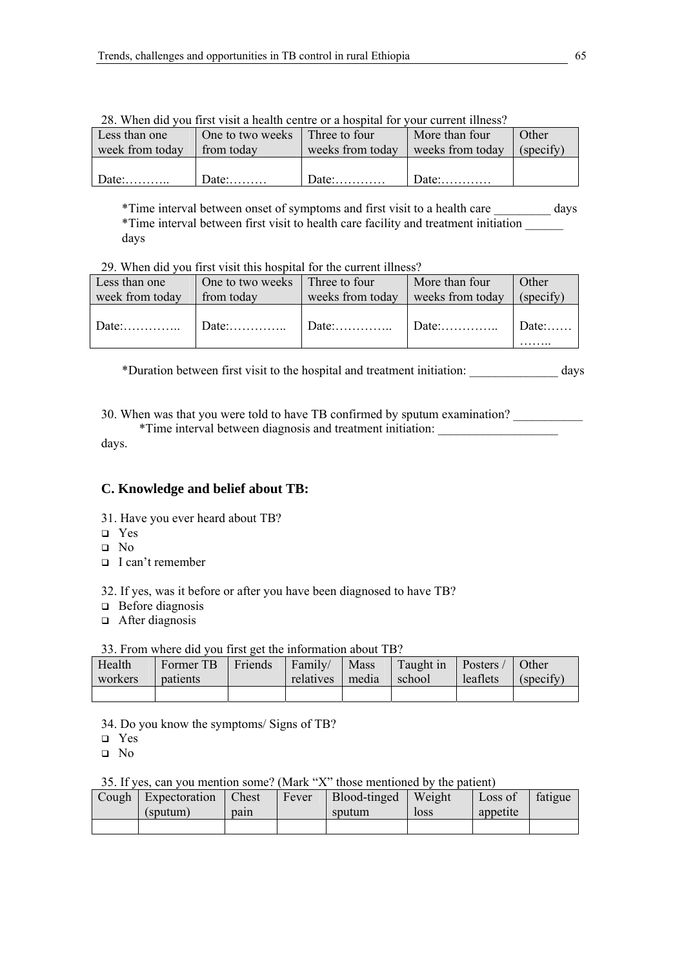| $\angle$ o. When the you that visit a health centre of a hospital for your current filliess! |                                |                  |                  |                        |  |
|----------------------------------------------------------------------------------------------|--------------------------------|------------------|------------------|------------------------|--|
| Less than one                                                                                | One to two weeks Three to four |                  | More than four   | Other                  |  |
| week from today                                                                              | from today                     | weeks from today | weeks from today | $\log(\text{specify})$ |  |
|                                                                                              |                                |                  |                  |                        |  |
| Date:                                                                                        | $\blacksquare$ Date:           | Date:            | Date:            |                        |  |

|  |  |  | 28. When did you first visit a health centre or a hospital for your current illness? |
|--|--|--|--------------------------------------------------------------------------------------|
|  |  |  |                                                                                      |

\*Time interval between onset of symptoms and first visit to a health care \_\_\_\_\_\_\_\_\_ days \*Time interval between first visit to health care facility and treatment initiation \_\_\_\_\_\_ days

#### 29. When did you first visit this hospital for the current illness?

| Less than one   | One to two weeks Three to four |                  | More than four   | Other                  |
|-----------------|--------------------------------|------------------|------------------|------------------------|
| week from today | from today                     | weeks from today | weeks from today | $\log(\text{specify})$ |
|                 |                                |                  |                  | $\blacksquare$ Date:   |

\*Duration between first visit to the hospital and treatment initiation: \_\_\_\_\_\_\_\_\_\_\_\_\_\_ days

30. When was that you were told to have TB confirmed by sputum examination? \_\_\_\_\_\_\_\_\_\_\_

\*Time interval between diagnosis and treatment initiation: \_\_\_\_\_\_\_\_\_\_\_\_\_\_\_\_\_\_\_

days.

## **C. Knowledge and belief about TB:**

- 31. Have you ever heard about TB?
- Yes
- No
- $\Box$  I can't remember

32. If yes, was it before or after you have been diagnosed to have TB?

- $\Box$  Before diagnosis
- $\Box$  After diagnosis

33. From where did you first get the information about TB?

| Health  | Former TB  | Friends | Family/         | Mass N | Taught in Posters / Other |          |                        |
|---------|------------|---------|-----------------|--------|---------------------------|----------|------------------------|
|         |            |         |                 |        |                           |          |                        |
| workers | l patients |         | relatives media |        | school                    | leaflets | $\log(\text{specify})$ |
|         |            |         |                 |        |                           |          |                        |

- 34. Do you know the symptoms/ Signs of TB?
- Yes
- No

#### 35. If yes, can you mention some? (Mark "X" those mentioned by the patient)

| Cough Expectoration<br>(sputum) | Chest<br>pain | Fever | Blood-tinged Weight<br>sputum | loss | Loss of<br>appetite | fatigue |
|---------------------------------|---------------|-------|-------------------------------|------|---------------------|---------|
|                                 |               |       |                               |      |                     |         |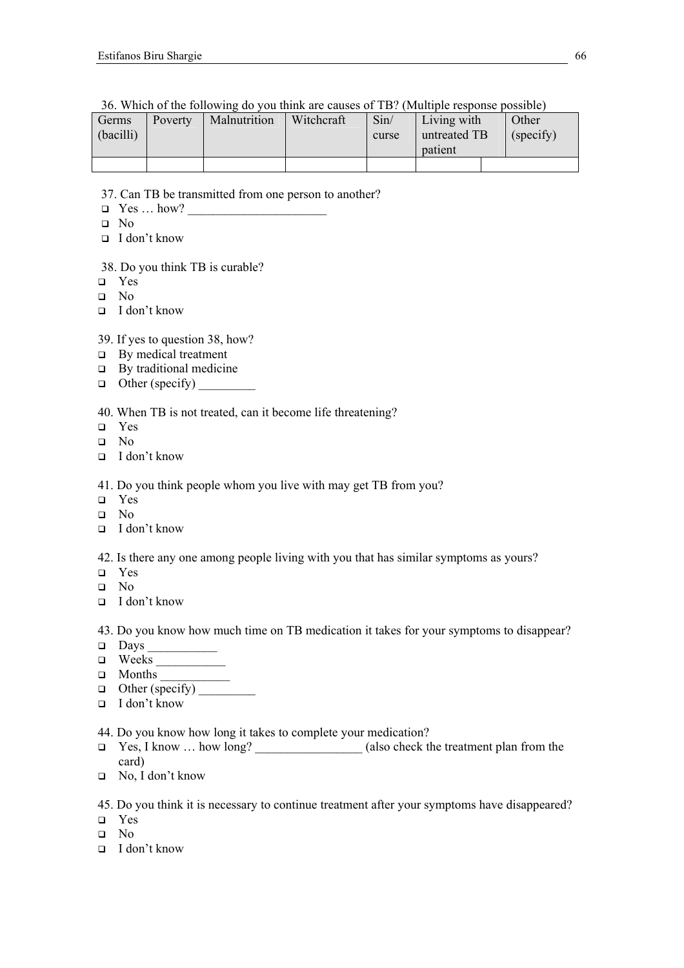|           |         |              |            |       | $20.$ . This if the following above the area water of the construction booding to a set of $\sim$ |           |
|-----------|---------|--------------|------------|-------|---------------------------------------------------------------------------------------------------|-----------|
| Germs     | Poverty | Malnutrition | Witchcraft | Sin/  | Living with                                                                                       | Other     |
| (bacilli) |         |              |            | curse | untreated TB                                                                                      | (specify) |
|           |         |              |            |       | patient                                                                                           |           |
|           |         |              |            |       |                                                                                                   |           |

- 36. Which of the following do you think are causes of TB? (Multiple response possible)
- 37. Can TB be transmitted from one person to another?
- $\Box$  Yes ... how?
- No
- I don't know
- 38. Do you think TB is curable?
- Yes
- No
- $\Box$  I don't know

#### 39. If yes to question 38, how?

- **By medical treatment**
- $\Box$  By traditional medicine
- $\Box$  Other (specify)

40. When TB is not treated, can it become life threatening?

- Yes
- No
- $\Box$  I don't know
- 41. Do you think people whom you live with may get TB from you?
- Yes
- $\neg$  No
- I don't know
- 42. Is there any one among people living with you that has similar symptoms as yours?
- Yes
- No
- $\Box$  I don't know

43. Do you know how much time on TB medication it takes for your symptoms to disappear?

- $\Box$  Days
- $\Box$  Weeks
- Months \_\_\_\_\_\_\_\_\_\_\_
- $\Box$  Other (specify)
- $\Box$  I don't know

44. Do you know how long it takes to complete your medication?

- Yes, I know … how long? \_\_\_\_\_\_\_\_\_\_\_\_\_\_\_\_\_ (also check the treatment plan from the card)
- $\Box$  No, I don't know
- 45. Do you think it is necessary to continue treatment after your symptoms have disappeared?
- Yes
- No
- $\Box$  I don't know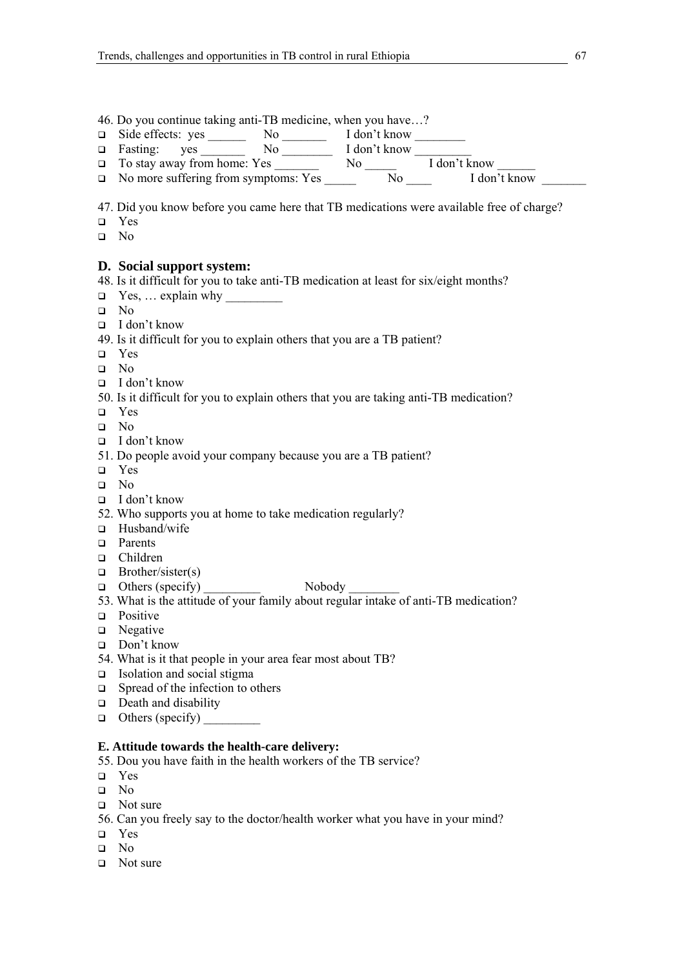| 46. Do you continue taking anti-TB medicine, when you have? |                |              |
|-------------------------------------------------------------|----------------|--------------|
| $\Box$ Side effects: yes<br>No.                             | I don't know   |              |
| $\Box$ Fasting:<br>No<br>ves                                | I don't know   |              |
| $\Box$ To stay away from home: Yes                          | N <sub>0</sub> | I don't know |
| $\Box$ No more suffering from symptoms: Yes                 | Nο             | I don't know |
|                                                             |                |              |

47. Did you know before you came here that TB medications were available free of charge?

- Yes
- $\Box$  No

#### **D. Social support system:**

48. Is it difficult for you to take anti-TB medication at least for six/eight months?

- $\Box$  Yes, ... explain why
- No
- I don't know
- 49. Is it difficult for you to explain others that you are a TB patient?
- Yes
- No
- $\Box$  I don't know
- 50. Is it difficult for you to explain others that you are taking anti-TB medication?
- Yes
- No
- $\Box$  I don't know
- 51. Do people avoid your company because you are a TB patient?
- Yes
- No
- $\Box$  I don't know
- 52. Who supports you at home to take medication regularly?
- □ Husband/wife
- **D** Parents
- □ Children
- $\Box$  Brother/sister(s)
- $\Box$  Others (specify) Nobody
- 53. What is the attitude of your family about regular intake of anti-TB medication?
- $\Box$  Positive
- $\Box$  Negative
- □ Don't know
- 54. What is it that people in your area fear most about TB?
- $\Box$  Isolation and social stigma
- $\Box$  Spread of the infection to others
- $\Box$  Death and disability
- $\Box$  Others (specify)

#### **E. Attitude towards the health-care delivery:**

- 55. Dou you have faith in the health workers of the TB service?
- Yes
- No
- $\Box$  Not sure
- 56. Can you freely say to the doctor/health worker what you have in your mind?
- Yes
- No
- $\Box$  Not sure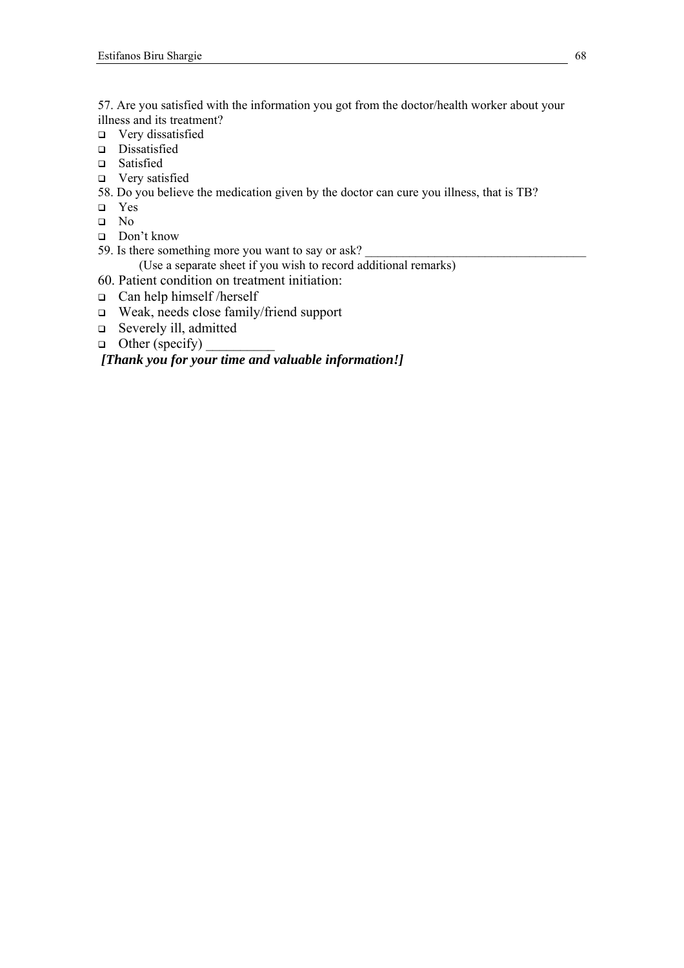57. Are you satisfied with the information you got from the doctor/health worker about your illness and its treatment?

- $\Box$  Very dissatisfied
- Dissatisfied
- □ Satisfied
- □ Very satisfied
- 58. Do you believe the medication given by the doctor can cure you illness, that is TB?
- Yes
- No
- □ Don't know
- 59. Is there something more you want to say or ask?
	- (Use a separate sheet if you wish to record additional remarks)
- 60. Patient condition on treatment initiation:
- Can help himself /herself
- Weak, needs close family/friend support
- Severely ill, admitted
- $\Box$  Other (specify)

# *[Thank you for your time and valuable information!]*